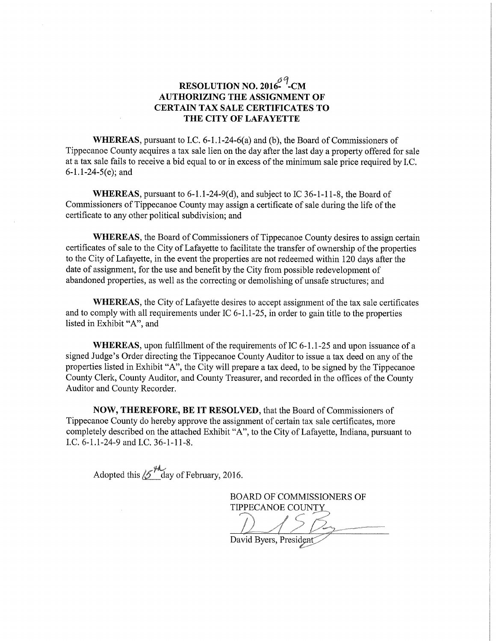## RESOLUTION NO. 2016 $^{69}$ -CM AUTHORIZING THE ASSIGNMENT OF CERTAIN TAX SALE CERTIFICATES TO THE CITY OF LAFAYETTE

WHEREAS, pursuant to I.C. 6-1.1-24-6(a) and (b), the Board of Commissioners of Tippecanoe County acquires <sup>a</sup> tax sale lien on the day after the last day <sup>a</sup> property offered for sale at a tax sale fails to receive a bid equal to or in excess of the minimum sale price required by I.C. 6-1.1-24—5(e); and

WHEREAS, pursuant to 6-1.1-24-9(d), and subject to IC 36-1-11-8, the Board of Commissioners of Tippecanoe County may assign <sup>a</sup> certificate of sale during the life of the certificate to any other political subdivision; and

WHEREAS, the Board of Commissioners of Tippecanoe County desires to assign certain certificates of sale to the City of Lafayette to facilitate the transfer of ownership of the properties to the City of Lafayette, in the event the properties are not redeemed Within <sup>120</sup> days after the date of assignment, for the use and benefit by the City from possible redevelopment of abandoned properties, as well as the correcting or demolishing of unsafe structures; and

WHEREAS, the City of Lafayette desires to accept assignment of the tax sale certificates and to comply with all requirements under  $IC$  6-1.1-25, in order to gain title to the properties listed in Exhibit "A", and

WHEREAS, upon fulfillment of the requirements of IC  $6-1.1-25$  and upon issuance of a signed Judge's Order directing the Tippecanoe County Auditor to issue <sup>a</sup> tax deed on any of the properties listed in Exhibit "A", the City will prepare <sup>a</sup> tax deed, to be signed by the Tippecanoe County Clerk, County Auditor, and County Treasurer, and recorded in the offices of the County Auditor and County Recorder.

NOW, THEREFORE, BE IT RESOLVED, that the Board of Commissioners of Tippecanoe County do hereby approve the assignment of certain tax sale certificates, more completely described on the attached Exhibit "A", to the City of Lafayette, Indiana, pursuant to LC. 6—l.l~24-9 and LC. 36~l-11~8.

Adopted this  $\cancel{5}^{4}$  day of February, 2016.

BOARD OF COMMISSIONERS OF TIPPECANOE COUNTY

,  $\longrightarrow$  $\sqrt{2\pi}$  - time  $\sqrt{2\pi}$ David Byers, President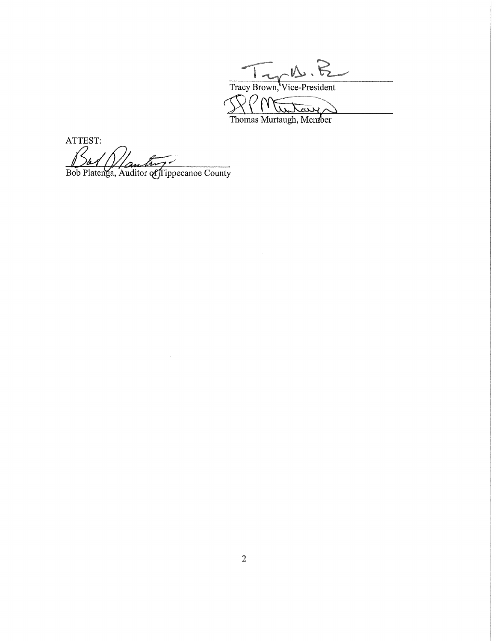Tracy Brown, Vice-President  $PM$ ヽ Mr Washington

ATTEST: Bob Platenga, Auditor of Tippecanoe County